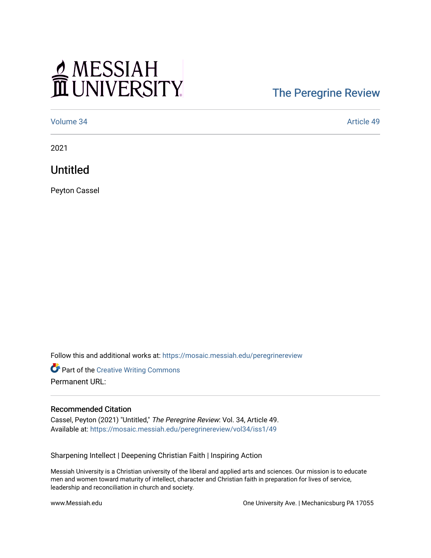## MESSIAH

## [The Peregrine Review](https://mosaic.messiah.edu/peregrinereview)

[Volume 34](https://mosaic.messiah.edu/peregrinereview/vol34) Article 49

2021

Untitled

Peyton Cassel

Follow this and additional works at: [https://mosaic.messiah.edu/peregrinereview](https://mosaic.messiah.edu/peregrinereview?utm_source=mosaic.messiah.edu%2Fperegrinereview%2Fvol34%2Fiss1%2F49&utm_medium=PDF&utm_campaign=PDFCoverPages) 

Part of the [Creative Writing Commons](http://network.bepress.com/hgg/discipline/574?utm_source=mosaic.messiah.edu%2Fperegrinereview%2Fvol34%2Fiss1%2F49&utm_medium=PDF&utm_campaign=PDFCoverPages)  Permanent URL:

## Recommended Citation

Cassel, Peyton (2021) "Untitled," The Peregrine Review: Vol. 34, Article 49. Available at: [https://mosaic.messiah.edu/peregrinereview/vol34/iss1/49](https://mosaic.messiah.edu/peregrinereview/vol34/iss1/49?utm_source=mosaic.messiah.edu%2Fperegrinereview%2Fvol34%2Fiss1%2F49&utm_medium=PDF&utm_campaign=PDFCoverPages)

Sharpening Intellect | Deepening Christian Faith | Inspiring Action

Messiah University is a Christian university of the liberal and applied arts and sciences. Our mission is to educate men and women toward maturity of intellect, character and Christian faith in preparation for lives of service, leadership and reconciliation in church and society.

www.Messiah.edu One University Ave. | Mechanicsburg PA 17055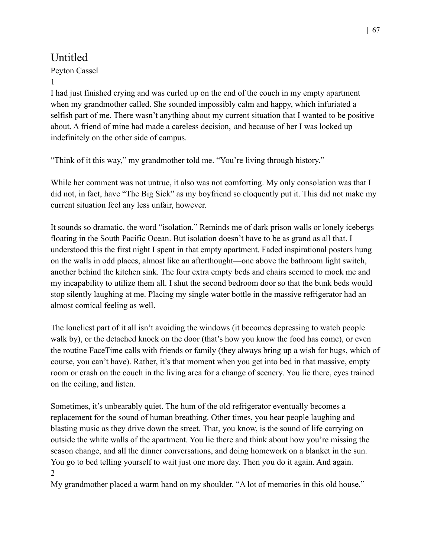## Untitled

1

Peyton Cassel

I had just finished crying and was curled up on the end of the couch in my empty apartment when my grandmother called. She sounded impossibly calm and happy, which infuriated a selfish part of me. There wasn't anything about my current situation that I wanted to be positive about. A friend of mine had made a careless decision, and because of her I was locked up indefinitely on the other side of campus.

"Think of it this way," my grandmother told me. "You're living through history."

While her comment was not untrue, it also was not comforting. My only consolation was that I did not, in fact, have "The Big Sick" as my boyfriend so eloquently put it. This did not make my current situation feel any less unfair, however.

It sounds so dramatic, the word "isolation." Reminds me of dark prison walls or lonely icebergs floating in the South Pacific Ocean. But isolation doesn't have to be as grand as all that. I understood this the first night I spent in that empty apartment. Faded inspirational posters hung on the walls in odd places, almost like an afterthought—one above the bathroom light switch, another behind the kitchen sink. The four extra empty beds and chairs seemed to mock me and my incapability to utilize them all. I shut the second bedroom door so that the bunk beds would stop silently laughing at me. Placing my single water bottle in the massive refrigerator had an almost comical feeling as well.

The loneliest part of it all isn't avoiding the windows (it becomes depressing to watch people walk by), or the detached knock on the door (that's how you know the food has come), or even the routine FaceTime calls with friends or family (they always bring up a wish for hugs, which of course, you can't have). Rather, it's that moment when you get into bed in that massive, empty room or crash on the couch in the living area for a change of scenery. You lie there, eyes trained on the ceiling, and listen.

Sometimes, it's unbearably quiet. The hum of the old refrigerator eventually becomes a replacement for the sound of human breathing. Other times, you hear people laughing and blasting music as they drive down the street. That, you know, is the sound of life carrying on outside the white walls of the apartment. You lie there and think about how you're missing the season change, and all the dinner conversations, and doing homework on a blanket in the sun. You go to bed telling yourself to wait just one more day. Then you do it again. And again. 2

My grandmother placed a warm hand on my shoulder. "A lot of memories in this old house."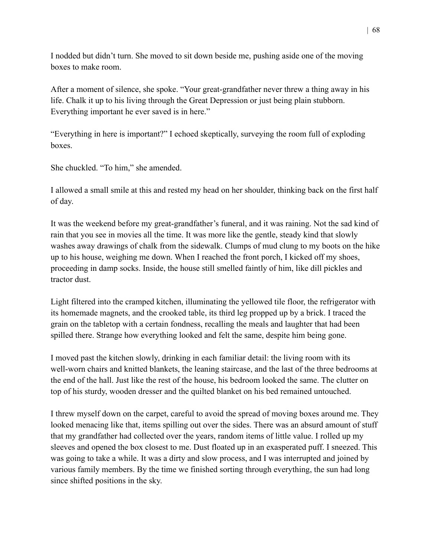I nodded but didn't turn. She moved to sit down beside me, pushing aside one of the moving boxes to make room.

After a moment of silence, she spoke. "Your great-grandfather never threw a thing away in his life. Chalk it up to his living through the Great Depression or just being plain stubborn. Everything important he ever saved is in here."

"Everything in here is important?" I echoed skeptically, surveying the room full of exploding boxes.

She chuckled. "To him," she amended.

I allowed a small smile at this and rested my head on her shoulder, thinking back on the first half of day.

It was the weekend before my great-grandfather's funeral, and it was raining. Not the sad kind of rain that you see in movies all the time. It was more like the gentle, steady kind that slowly washes away drawings of chalk from the sidewalk. Clumps of mud clung to my boots on the hike up to his house, weighing me down. When I reached the front porch, I kicked off my shoes, proceeding in damp socks. Inside, the house still smelled faintly of him, like dill pickles and tractor dust.

Light filtered into the cramped kitchen, illuminating the yellowed tile floor, the refrigerator with its homemade magnets, and the crooked table, its third leg propped up by a brick. I traced the grain on the tabletop with a certain fondness, recalling the meals and laughter that had been spilled there. Strange how everything looked and felt the same, despite him being gone.

I moved past the kitchen slowly, drinking in each familiar detail: the living room with its well-worn chairs and knitted blankets, the leaning staircase, and the last of the three bedrooms at the end of the hall. Just like the rest of the house, his bedroom looked the same. The clutter on top of his sturdy, wooden dresser and the quilted blanket on his bed remained untouched.

I threw myself down on the carpet, careful to avoid the spread of moving boxes around me. They looked menacing like that, items spilling out over the sides. There was an absurd amount of stuff that my grandfather had collected over the years, random items of little value. I rolled up my sleeves and opened the box closest to me. Dust floated up in an exasperated puff. I sneezed. This was going to take a while. It was a dirty and slow process, and I was interrupted and joined by various family members. By the time we finished sorting through everything, the sun had long since shifted positions in the sky.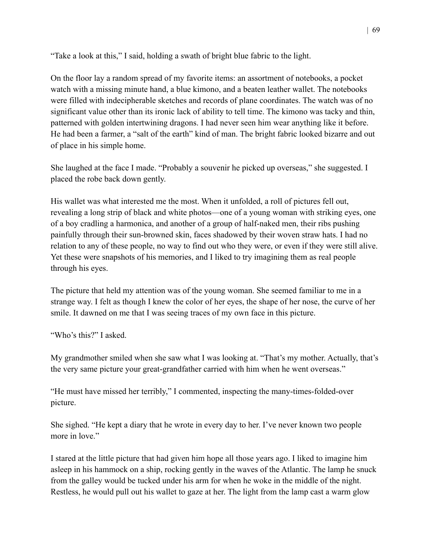"Take a look at this," I said, holding a swath of bright blue fabric to the light.

On the floor lay a random spread of my favorite items: an assortment of notebooks, a pocket watch with a missing minute hand, a blue kimono, and a beaten leather wallet. The notebooks were filled with indecipherable sketches and records of plane coordinates. The watch was of no significant value other than its ironic lack of ability to tell time. The kimono was tacky and thin, patterned with golden intertwining dragons. I had never seen him wear anything like it before. He had been a farmer, a "salt of the earth" kind of man. The bright fabric looked bizarre and out of place in his simple home.

She laughed at the face I made. "Probably a souvenir he picked up overseas," she suggested. I placed the robe back down gently.

His wallet was what interested me the most. When it unfolded, a roll of pictures fell out, revealing a long strip of black and white photos—one of a young woman with striking eyes, one of a boy cradling a harmonica, and another of a group of half-naked men, their ribs pushing painfully through their sun-browned skin, faces shadowed by their woven straw hats. I had no relation to any of these people, no way to find out who they were, or even if they were still alive. Yet these were snapshots of his memories, and I liked to try imagining them as real people through his eyes.

The picture that held my attention was of the young woman. She seemed familiar to me in a strange way. I felt as though I knew the color of her eyes, the shape of her nose, the curve of her smile. It dawned on me that I was seeing traces of my own face in this picture.

"Who's this?" I asked.

My grandmother smiled when she saw what I was looking at. "That's my mother. Actually, that's the very same picture your great-grandfather carried with him when he went overseas."

"He must have missed her terribly," I commented, inspecting the many-times-folded-over picture.

She sighed. "He kept a diary that he wrote in every day to her. I've never known two people more in love."

I stared at the little picture that had given him hope all those years ago. I liked to imagine him asleep in his hammock on a ship, rocking gently in the waves of the Atlantic. The lamp he snuck from the galley would be tucked under his arm for when he woke in the middle of the night. Restless, he would pull out his wallet to gaze at her. The light from the lamp cast a warm glow